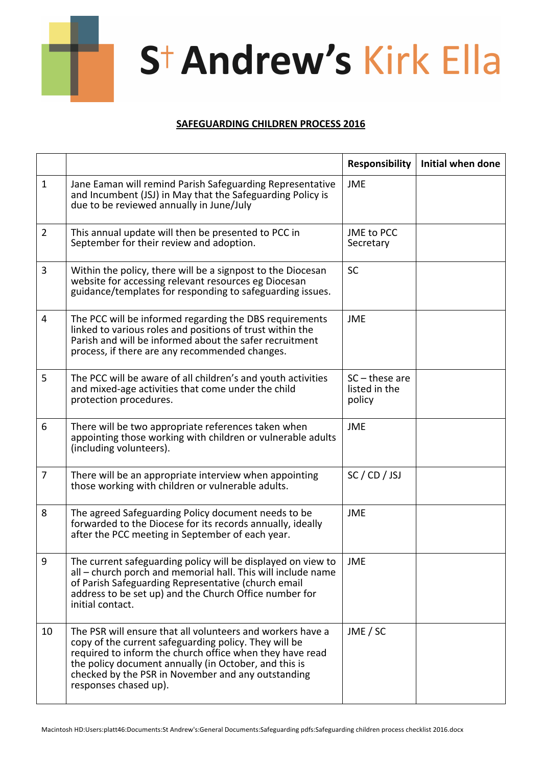

## St Andrew's Kirk Ella

## **SAFEGUARDING CHILDREN PROCESS 2016**

|                |                                                                                                                                                                                                                                                                                                                         | <b>Responsibility</b>                       | Initial when done |
|----------------|-------------------------------------------------------------------------------------------------------------------------------------------------------------------------------------------------------------------------------------------------------------------------------------------------------------------------|---------------------------------------------|-------------------|
| $\mathbf{1}$   | Jane Eaman will remind Parish Safeguarding Representative<br>and Incumbent (JSJ) in May that the Safeguarding Policy is<br>due to be reviewed annually in June/July                                                                                                                                                     | <b>JME</b>                                  |                   |
| $\overline{2}$ | This annual update will then be presented to PCC in<br>September for their review and adoption.                                                                                                                                                                                                                         | JME to PCC<br>Secretary                     |                   |
| 3              | Within the policy, there will be a signpost to the Diocesan<br>website for accessing relevant resources eg Diocesan<br>guidance/templates for responding to safeguarding issues.                                                                                                                                        | SC                                          |                   |
| 4              | The PCC will be informed regarding the DBS requirements<br>linked to various roles and positions of trust within the<br>Parish and will be informed about the safer recruitment<br>process, if there are any recommended changes.                                                                                       | <b>JME</b>                                  |                   |
| 5              | The PCC will be aware of all children's and youth activities<br>and mixed-age activities that come under the child<br>protection procedures.                                                                                                                                                                            | $SC$ – these are<br>listed in the<br>policy |                   |
| 6              | There will be two appropriate references taken when<br>appointing those working with children or vulnerable adults<br>(including volunteers).                                                                                                                                                                           | <b>JME</b>                                  |                   |
| 7              | There will be an appropriate interview when appointing<br>those working with children or vulnerable adults.                                                                                                                                                                                                             | SC / CD / JSJ                               |                   |
| 8              | The agreed Safeguarding Policy document needs to be<br>forwarded to the Diocese for its records annually, ideally<br>after the PCC meeting in September of each year.                                                                                                                                                   | <b>JME</b>                                  |                   |
| 9              | The current safeguarding policy will be displayed on view to<br>all – church porch and memorial hall. This will include name<br>of Parish Safeguarding Representative (church email<br>address to be set up) and the Church Office number for<br>initial contact.                                                       | <b>JME</b>                                  |                   |
| 10             | The PSR will ensure that all volunteers and workers have a<br>copy of the current safeguarding policy. They will be<br>required to inform the church office when they have read<br>the policy document annually (in October, and this is<br>checked by the PSR in November and any outstanding<br>responses chased up). | JME / SC                                    |                   |